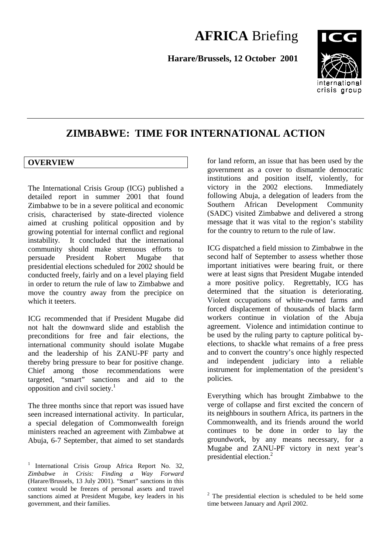# **AFRICA** Briefing

# **Harare/Brussels, 12 October 2001**



# **ZIMBABWE: TIME FOR INTERNATIONAL ACTION**

#### **OVERVIEW**

The International Crisis Group (ICG) published a detailed report in summer 2001 that found Zimbabwe to be in a severe political and economic crisis, characterised by state-directed violence aimed at crushing political opposition and by growing potential for internal conflict and regional instability. It concluded that the international community should make strenuous efforts to persuade President Robert Mugabe that presidential elections scheduled for 2002 should be conducted freely, fairly and on a level playing field in order to return the rule of law to Zimbabwe and move the country away from the precipice on which it teeters.

ICG recommended that if President Mugabe did not halt the downward slide and establish the preconditions for free and fair elections, the international community should isolate Mugabe and the leadership of his ZANU-PF party and thereby bring pressure to bear for positive change. Chief among those recommendations were targeted, "smart" sanctions and aid to the opposition and civil society. $\frac{1}{1}$ 

The three months since that report was issued have seen increased international activity. In particular, a special delegation of Commonwealth foreign ministers reached an agreement with Zimbabwe at Abuja, 6-7 September, that aimed to set standards for land reform, an issue that has been used by the government as a cover to dismantle democratic institutions and position itself, violently, for victory in the 2002 elections. Immediately following Abuja, a delegation of leaders from the Southern African Development Community (SADC) visited Zimbabwe and delivered a strong message that it was vital to the region's stability for the country to return to the rule of law.

ICG dispatched a field mission to Zimbabwe in the second half of September to assess whether those important initiatives were bearing fruit, or there were at least signs that President Mugabe intended a more positive policy. Regrettably, ICG has determined that the situation is deteriorating. Violent occupations of white-owned farms and forced displacement of thousands of black farm workers continue in violation of the Abuja agreement. Violence and intimidation continue to be used by the ruling party to capture political byelections, to shackle what remains of a free press and to convert the country's once highly respected and independent judiciary into a reliable instrument for implementation of the president's policies.

Everything which has brought Zimbabwe to the verge of collapse and first excited the concern of its neighbours in southern Africa, its partners in the Commonwealth, and its friends around the world continues to be done in order to lay the groundwork, by any means necessary, for a Mugabe and ZANU-PF victory in next year's presidential election.2

<sup>&</sup>lt;sup>1</sup> International Crisis Group Africa Report No. 32, *Zimbabwe in Crisis: Finding a Way Forward* (Harare/Brussels, 13 July 2001). "Smart" sanctions in this context would be freezes of personal assets and travel sanctions aimed at President Mugabe, key leaders in his government, and their families.

 $2$  The presidential election is scheduled to be held some time between January and April 2002.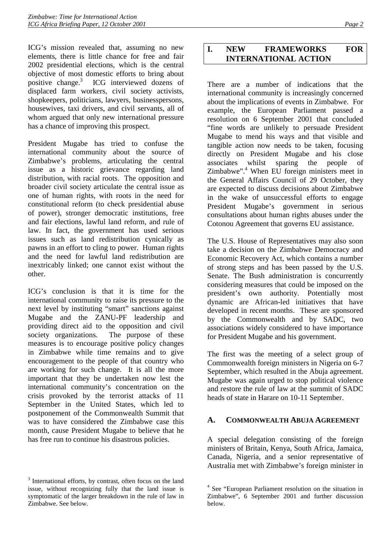ICG's mission revealed that, assuming no new elements, there is little chance for free and fair 2002 presidential elections, which is the central objective of most domestic efforts to bring about positive change.<sup>3</sup> ICG interviewed dozens of displaced farm workers, civil society activists, shopkeepers, politicians, lawyers, businesspersons, housewives, taxi drivers, and civil servants, all of whom argued that only new international pressure has a chance of improving this prospect.

President Mugabe has tried to confuse the international community about the source of Zimbabwe's problems, articulating the central issue as a historic grievance regarding land distribution, with racial roots. The opposition and broader civil society articulate the central issue as one of human rights, with roots in the need for constitutional reform (to check presidential abuse of power), stronger democratic institutions, free and fair elections, lawful land reform, and rule of law. In fact, the government has used serious issues such as land redistribution cynically as pawns in an effort to cling to power. Human rights and the need for lawful land redistribution are inextricably linked; one cannot exist without the other.

ICG's conclusion is that it is time for the international community to raise its pressure to the next level by instituting "smart" sanctions against Mugabe and the ZANU-PF leadership and providing direct aid to the opposition and civil society organizations. The purpose of these measures is to encourage positive policy changes in Zimbabwe while time remains and to give encouragement to the people of that country who are working for such change. It is all the more important that they be undertaken now lest the international community's concentration on the crisis provoked by the terrorist attacks of 11 September in the United States, which led to postponement of the Commonwealth Summit that was to have considered the Zimbabwe case this month, cause President Mugabe to believe that he has free run to continue his disastrous policies.

# **I. NEW FRAMEWORKS FOR INTERNATIONAL ACTION**

There are a number of indications that the international community is increasingly concerned about the implications of events in Zimbabwe. For example, the European Parliament passed a resolution on 6 September 2001 that concluded "fine words are unlikely to persuade President Mugabe to mend his ways and that visible and tangible action now needs to be taken, focusing directly on President Mugabe and his close associates whilst sparing the people of Zimbabwe".<sup>4</sup> When EU foreign ministers meet in the General Affairs Council of 29 October, they are expected to discuss decisions about Zimbabwe in the wake of unsuccessful efforts to engage President Mugabe's government in serious consultations about human rights abuses under the Cotonou Agreement that governs EU assistance.

The U.S. House of Representatives may also soon take a decision on the Zimbabwe Democracy and Economic Recovery Act, which contains a number of strong steps and has been passed by the U.S. Senate. The Bush administration is concurrently considering measures that could be imposed on the president's own authority. Potentially most dynamic are African-led initiatives that have developed in recent months. These are sponsored by the Commonwealth and by SADC, two associations widely considered to have importance for President Mugabe and his government.

The first was the meeting of a select group of Commonwealth foreign ministers in Nigeria on 6-7 September, which resulted in the Abuja agreement. Mugabe was again urged to stop political violence and restore the rule of law at the summit of SADC heads of state in Harare on 10-11 September.

# **A. COMMONWEALTH ABUJA AGREEMENT**

A special delegation consisting of the foreign ministers of Britain, Kenya, South Africa, Jamaica, Canada, Nigeria, and a senior representative of Australia met with Zimbabwe's foreign minister in

<sup>&</sup>lt;sup>3</sup> International efforts, by contrast, often focus on the land issue, without recognizing fully that the land issue is symptomatic of the larger breakdown in the rule of law in Zimbabwe. See below.

<sup>4</sup> See "European Parliament resolution on the situation in Zimbabwe", 6 September 2001 and further discussion below.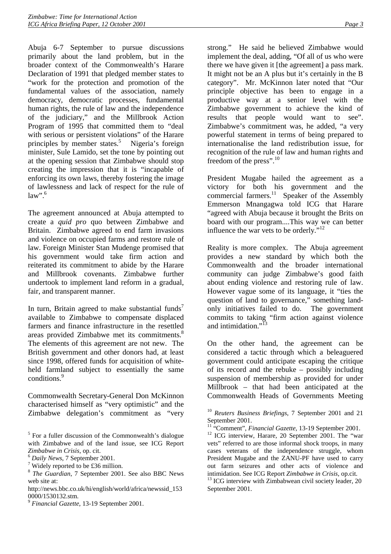Abuja 6-7 September to pursue discussions primarily about the land problem, but in the broader context of the Commonwealth's Harare Declaration of 1991 that pledged member states to "work for the protection and promotion of the fundamental values of the association, namely democracy, democratic processes, fundamental human rights, the rule of law and the independence of the judiciary," and the Millbrook Action Program of 1995 that committed them to "deal with serious or persistent violations" of the Harare principles by member states.<sup>5</sup> Nigeria's foreign minister, Sule Lamido, set the tone by pointing out at the opening session that Zimbabwe should stop creating the impression that it is "incapable of enforcing its own laws, thereby fostering the image of lawlessness and lack of respect for the rule of law".<sup>6</sup>

The agreement announced at Abuja attempted to create a *quid pro* quo between Zimbabwe and Britain. Zimbabwe agreed to end farm invasions and violence on occupied farms and restore rule of law. Foreign Minister Stan Mudenge promised that his government would take firm action and reiterated its commitment to abide by the Harare and Millbrook covenants. Zimbabwe further undertook to implement land reform in a gradual, fair, and transparent manner.

In turn, Britain agreed to make substantial funds<sup>7</sup> available to Zimbabwe to compensate displaced farmers and finance infrastructure in the resettled areas provided Zimbabwe met its commitments.8 The elements of this agreement are not new. The British government and other donors had, at least since 1998, offered funds for acquisition of whiteheld farmland subject to essentially the same conditions.<sup>9</sup>

Commonwealth Secretary-General Don McKinnon characterised himself as "very optimistic" and the Zimbabwe delegation's commitment as "very

strong." He said he believed Zimbabwe would implement the deal, adding, "Of all of us who were there we have given it [the agreement] a pass mark. It might not be an A plus but it's certainly in the B category". Mr. McKinnon later noted that "Our principle objective has been to engage in a productive way at a senior level with the Zimbabwe government to achieve the kind of results that people would want to see". Zimbabwe's commitment was, he added, "a very powerful statement in terms of being prepared to internationalise the land redistribution issue, for recognition of the rule of law and human rights and freedom of the press".<sup>10</sup>

President Mugabe hailed the agreement as a victory for both his government and the commercial farmers.<sup>11</sup> Speaker of the Assembly Emmerson Mnangagwa told ICG that Harare "agreed with Abuja because it brought the Brits on board with our program....This way we can better influence the war vets to be orderly."<sup>12</sup>

Reality is more complex. The Abuja agreement provides a new standard by which both the Commonwealth and the broader international community can judge Zimbabwe's good faith about ending violence and restoring rule of law. However vague some of its language, it "ties the question of land to governance," something landonly initiatives failed to do. The government commits to taking "firm action against violence and intimidation." $^{13}$ 

On the other hand, the agreement can be considered a tactic through which a beleaguered government could anticipate escaping the critique of its record and the rebuke – possibly including suspension of membership as provided for under Millbrook – that had been anticipated at the Commonwealth Heads of Governments Meeting

<sup>10</sup> *Reuters Business Briefings*, 7 September 2001 and 21

<sup>&</sup>lt;sup>5</sup> For a fuller discussion of the Commonwealth's dialogue with Zimbabwe and of the land issue, see ICG Report *Zimbabwe in Crisis*, op. cit.<br><sup>6</sup> *Daily News*, 7 September 2001.

Widely reported to be £36 million.

<sup>8</sup> *The Guardian*, 7 September 2001. See also BBC News web site at:

http://news.bbc.co.uk/hi/english/world/africa/newssid\_153 0000/1530132.stm.

<sup>9</sup> *Financial Gazette*, 13-19 September 2001.

September 2001.<br><sup>11</sup> "Comment", *Financial Gazette*, 13-19 September 2001.

<sup>&</sup>lt;sup>12</sup> ICG interview, Harare, 20 September 2001. The "war vets" referred to are those informal shock troops, in many cases veterans of the independence struggle, whom President Mugabe and the ZANU-PF have used to carry out farm seizures and other acts of violence and intimidation. See ICG Report *Zimbabwe in Crisis*, op.cit. 13 ICG interview with Zimbabwean civil society leader, 20

September 2001.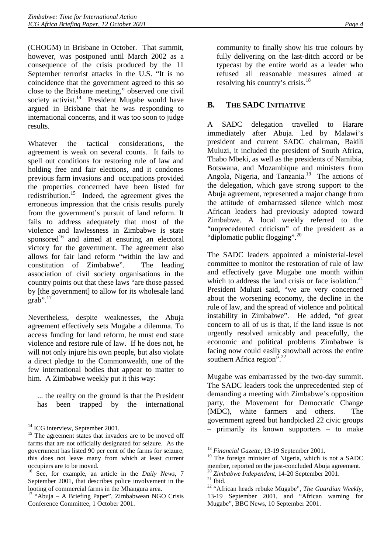(CHOGM) in Brisbane in October. That summit, however, was postponed until March 2002 as a consequence of the crisis produced by the 11 September terrorist attacks in the U.S. "It is no coincidence that the government agreed to this so close to the Brisbane meeting," observed one civil society activist.<sup>14</sup> President Mugabe would have argued in Brisbane that he was responding to international concerns, and it was too soon to judge results.

Whatever the tactical considerations, the agreement is weak on several counts. It fails to spell out conditions for restoring rule of law and holding free and fair elections, and it condones previous farm invasions and occupations provided the properties concerned have been listed for redistribution.<sup>15</sup> Indeed, the agreement gives the erroneous impression that the crisis results purely from the government's pursuit of land reform. It fails to address adequately that most of the violence and lawlessness in Zimbabwe is state sponsored<sup>16</sup> and aimed at ensuring an electoral victory for the government. The agreement also allows for fair land reform "within the law and constitution of Zimbabwe". The leading association of civil society organisations in the country points out that these laws "are those passed by [the government] to allow for its wholesale land  $\gamma$ grab".<sup>17</sup>

Nevertheless, despite weaknesses, the Abuja agreement effectively sets Mugabe a dilemma. To access funding for land reform, he must end state violence and restore rule of law. If he does not, he will not only injure his own people, but also violate a direct pledge to the Commonwealth, one of the few international bodies that appear to matter to him. A Zimbabwe weekly put it this way:

... the reality on the ground is that the President has been trapped by the international

17 "Abuja – A Briefing Paper", Zimbabwean NGO Crisis Conference Committee, 1 October 2001.

community to finally show his true colours by fully delivering on the last-ditch accord or be typecast by the entire world as a leader who refused all reasonable measures aimed at resolving his country's crisis.<sup>18</sup>

#### **B. THE SADC INITIATIVE**

A SADC delegation travelled to Harare immediately after Abuja. Led by Malawi's president and current SADC chairman, Bakili Muluzi, it included the president of South Africa, Thabo Mbeki, as well as the presidents of Namibia, Botswana, and Mozambique and ministers from Angola, Nigeria, and Tanzania.<sup>19</sup> The actions of the delegation, which gave strong support to the Abuja agreement, represented a major change from the attitude of embarrassed silence which most African leaders had previously adopted toward Zimbabwe. A local weekly referred to the "unprecedented criticism" of the president as a "diplomatic public flogging".<sup>20</sup>

The SADC leaders appointed a ministerial-level committee to monitor the restoration of rule of law and effectively gave Mugabe one month within which to address the land crisis or face isolation.<sup>21</sup> President Muluzi said, "we are very concerned about the worsening economy, the decline in the rule of law, and the spread of violence and political instability in Zimbabwe". He added, "of great concern to all of us is that, if the land issue is not urgently resolved amicably and peacefully, the economic and political problems Zimbabwe is facing now could easily snowball across the entire southern Africa region".<sup>22</sup>

Mugabe was embarrassed by the two-day summit. The SADC leaders took the unprecedented step of demanding a meeting with Zimbabwe's opposition party, the Movement for Democratic Change (MDC), white farmers and others. The government agreed but handpicked 22 civic groups – primarily its known supporters – to make

<sup>&</sup>lt;sup>14</sup> ICG interview, September 2001.

<sup>&</sup>lt;sup>15</sup> The agreement states that invaders are to be moved off farms that are not officially designated for seizure. As the government has listed 90 per cent of the farms for seizure, this does not leave many from which at least current occupiers are to be moved.

<sup>16</sup> See, for example, an article in the *Daily News*, 7 September 2001, that describes police involvement in the looting of commercial farms in the Mhangura area.

<sup>18</sup> *Financial Gazette*, 13-19 September 2001.

<sup>&</sup>lt;sup>19</sup> The foreign minister of Nigeria, which is not a SADC member, reported on the just-concluded Abuja agreement. <sup>20</sup> Zimbabwe Independent, 14-20 September 2001.<br><sup>21</sup> Ibid.

<sup>22 &</sup>quot;African heads rebuke Mugabe", *The Guardian Weekly*, 13-19 September 2001, and "African warning for Mugabe", BBC News, 10 September 2001.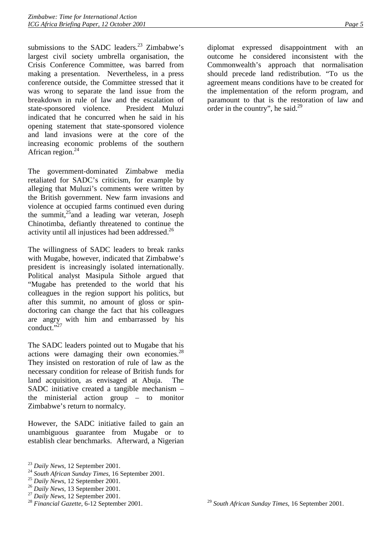submissions to the SADC leaders.<sup>23</sup> Zimbabwe's largest civil society umbrella organisation, the Crisis Conference Committee, was barred from making a presentation. Nevertheless, in a press conference outside, the Committee stressed that it was wrong to separate the land issue from the breakdown in rule of law and the escalation of state-sponsored violence. President Muluzi indicated that he concurred when he said in his opening statement that state-sponsored violence and land invasions were at the core of the increasing economic problems of the southern African region. $24$ 

The government-dominated Zimbabwe media retaliated for SADC's criticism, for example by alleging that Muluzi's comments were written by the British government. New farm invasions and violence at occupied farms continued even during the summit,<sup>25</sup> and a leading war veteran, Joseph Chinotimba, defiantly threatened to continue the activity until all injustices had been addressed.26

The willingness of SADC leaders to break ranks with Mugabe, however, indicated that Zimbabwe's president is increasingly isolated internationally. Political analyst Masipula Sithole argued that "Mugabe has pretended to the world that his colleagues in the region support his politics, but after this summit, no amount of gloss or spindoctoring can change the fact that his colleagues are angry with him and embarrassed by his conduct."<sup>27</sup>

The SADC leaders pointed out to Mugabe that his actions were damaging their own economies. $^{28}$ They insisted on restoration of rule of law as the necessary condition for release of British funds for land acquisition, as envisaged at Abuja. The SADC initiative created a tangible mechanism – the ministerial action group – to monitor Zimbabwe's return to normalcy.

However, the SADC initiative failed to gain an unambiguous guarantee from Mugabe or to establish clear benchmarks. Afterward, a Nigerian

- <sup>23</sup> Daily News, 12 September 2001.<br>
<sup>24</sup> South African Sunday Times, 16 September 2001.<br>
<sup>25</sup> Daily News, 12 September 2001.<br>
<sup>26</sup> Daily News, 13 September 2001.<br>
<sup>27</sup> Daily News, 12 September 2001.<br>
<sup>28</sup> Financial Gazet
- 
- 
- 

diplomat expressed disappointment with an outcome he considered inconsistent with the Commonwealth's approach that normalisation should precede land redistribution. "To us the agreement means conditions have to be created for the implementation of the reform program, and paramount to that is the restoration of law and order in the country", he said.<sup>29</sup>

<sup>29</sup> *South African Sunday Times*, 16 September 2001.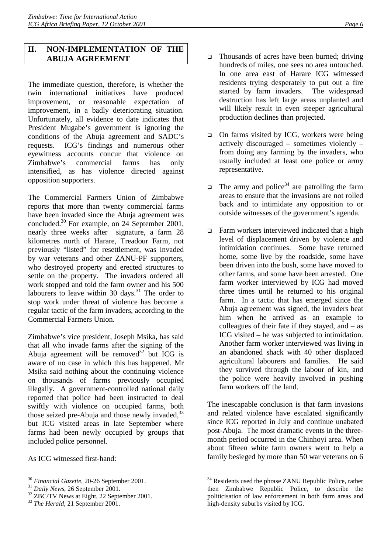# **II. NON-IMPLEMENTATION OF THE ABUJA AGREEMENT**

The immediate question, therefore, is whether the twin international initiatives have produced improvement, or reasonable expectation of improvement, in a badly deteriorating situation. Unfortunately, all evidence to date indicates that President Mugabe's government is ignoring the conditions of the Abuja agreement and SADC's requests. ICG's findings and numerous other eyewitness accounts concur that violence on Zimbabwe's commercial farms has only intensified, as has violence directed against opposition supporters.

The Commercial Farmers Union of Zimbabwe reports that more than twenty commercial farms have been invaded since the Abuja agreement was concluded.30 For example, on 24 September 2001, nearly three weeks after signature, a farm 28 kilometres north of Harare, Treadour Farm, not previously "listed" for resettlement, was invaded by war veterans and other ZANU-PF supporters, who destroyed property and erected structures to settle on the property. The invaders ordered all work stopped and told the farm owner and his 500 labourers to leave within 30 days.<sup>31</sup> The order to stop work under threat of violence has become a regular tactic of the farm invaders, according to the Commercial Farmers Union.

Zimbabwe's vice president, Joseph Msika, has said that all who invade farms after the signing of the Abuja agreement will be removed<sup>32</sup> but ICG is aware of no case in which this has happened. Mr Msika said nothing about the continuing violence on thousands of farms previously occupied illegally. A government-controlled national daily reported that police had been instructed to deal swiftly with violence on occupied farms, both those seized pre-Abuja and those newly invaded,  $33$ but ICG visited areas in late September where farms had been newly occupied by groups that included police personnel.

As ICG witnessed first-hand:

- $\Box$  Thousands of acres have been burned; driving hundreds of miles, one sees no area untouched. In one area east of Harare ICG witnessed residents trying desperately to put out a fire started by farm invaders. The widespread destruction has left large areas unplanted and will likely result in even steeper agricultural production declines than projected.
- $\Box$  On farms visited by ICG, workers were being actively discouraged – sometimes violently – from doing any farming by the invaders, who usually included at least one police or army representative.
- $\Box$  The army and police<sup>34</sup> are patrolling the farm areas to ensure that the invasions are not rolled back and to intimidate any opposition to or outside witnesses of the government's agenda.
- $\Box$  Farm workers interviewed indicated that a high level of displacement driven by violence and intimidation continues. Some have returned home, some live by the roadside, some have been driven into the bush, some have moved to other farms, and some have been arrested. One farm worker interviewed by ICG had moved three times until he returned to his original farm. In a tactic that has emerged since the Abuja agreement was signed, the invaders beat him when he arrived as an example to colleagues of their fate if they stayed, and – as ICG visited – he was subjected to intimidation. Another farm worker interviewed was living in an abandoned shack with 40 other displaced agricultural labourers and families. He said they survived through the labour of kin, and the police were heavily involved in pushing farm workers off the land.

The inescapable conclusion is that farm invasions and related violence have escalated significantly since ICG reported in July and continue unabated post-Abuja. The most dramatic events in the threemonth period occurred in the Chinhoyi area. When about fifteen white farm owners went to help a family besieged by more than 50 war veterans on 6

<sup>&</sup>lt;sup>30</sup> *Financial Gazette*, 20-26 September 2001.<br><sup>31</sup> *Daily News*, 26 September 2001.<br><sup>32</sup> ZBC/TV News at Eight, 22 September 2001.

<sup>33</sup> *The Herald*, 21 September 2001.

<sup>&</sup>lt;sup>34</sup> Residents used the phrase ZANU Republic Police, rather then Zimbabwe Republic Police, to describe the politicisation of law enforcement in both farm areas and high-density suburbs visited by ICG.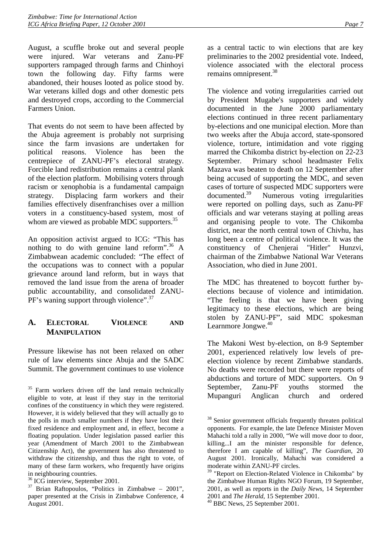August, a scuffle broke out and several people were injured. War veterans and Zanu-PF supporters rampaged through farms and Chinhoyi town the following day. Fifty farms were abandoned, their houses looted as police stood by. War veterans killed dogs and other domestic pets and destroyed crops, according to the Commercial Farmers Union.

That events do not seem to have been affected by the Abuja agreement is probably not surprising since the farm invasions are undertaken for political reasons. Violence has been the centrepiece of ZANU-PF's electoral strategy. Forcible land redistribution remains a central plank of the election platform. Mobilising voters through racism or xenophobia is a fundamental campaign strategy. Displacing farm workers and their families effectively disenfranchises over a million voters in a constituency-based system, most of whom are viewed as probable MDC supporters.<sup>35</sup>

An opposition activist argued to ICG: "This has nothing to do with genuine land reform". $36$  A Zimbabwean academic concluded: "The effect of the occupations was to connect with a popular grievance around land reform, but in ways that removed the land issue from the arena of broader public accountability, and consolidated ZANU-PF's waning support through violence".<sup>37</sup>

# **A. ELECTORAL VIOLENCE AND MANIPULATION**

Pressure likewise has not been relaxed on other rule of law elements since Abuja and the SADC Summit. The government continues to use violence as a central tactic to win elections that are key preliminaries to the 2002 presidential vote. Indeed, violence associated with the electoral process remains omnipresent.<sup>38</sup>

The violence and voting irregularities carried out by President Mugabe's supporters and widely documented in the June 2000 parliamentary elections continued in three recent parliamentary by-elections and one municipal election. More than two weeks after the Abuja accord, state-sponsored violence, torture, intimidation and vote rigging marred the Chikomba district by-election on 22-23 September. Primary school headmaster Felix Mazava was beaten to death on 12 September after being accused of supporting the MDC, and seven cases of torture of suspected MDC supporters were documented.<sup>39</sup> Numerous voting irregularities were reported on polling days, such as Zanu-PF officials and war veterans staying at polling areas and organising people to vote. The Chikomba district, near the north central town of Chivhu, has long been a centre of political violence. It was the constituency of Chenjerai "Hitler" Hunzvi, chairman of the Zimbabwe National War Veterans Association, who died in June 2001.

The MDC has threatened to boycott further byelections because of violence and intimidation. "The feeling is that we have been giving legitimacy to these elections, which are being stolen by ZANU-PF", said MDC spokesman Learnmore Jongwe.<sup>40</sup>

The Makoni West by-election, on 8-9 September 2001, experienced relatively low levels of preelection violence by recent Zimbabwe standards. No deaths were recorded but there were reports of abductions and torture of MDC supporters. On 9 September, Zanu-PF youths stormed the Mupanguri Anglican church and ordered

<sup>&</sup>lt;sup>35</sup> Farm workers driven off the land remain technically eligible to vote, at least if they stay in the territorial confines of the constituency in which they were registered. However, it is widely believed that they will actually go to the polls in much smaller numbers if they have lost their fixed residence and employment and, in effect, become a floating population. Under legislation passed earlier this year (Amendment of March 2001 to the Zimbabwean Citizenship Act), the government has also threatened to withdraw the citizenship, and thus the right to vote, of many of these farm workers, who frequently have origins in neighbouring countries.

<sup>36</sup> ICG interview, September 2001.

 $37$  Brian Raftopoulos, "Politics in Zimbabwe – 2001", paper presented at the Crisis in Zimbabwe Conference, 4 August 2001.

<sup>&</sup>lt;sup>38</sup> Senior government officials frequently threaten political opponents. For example, the late Defence Minister Moven Mahachi told a rally in 2000, "We will move door to door, killing...I am the minister responsible for defence, therefore I am capable of killing", *The Guardian*, 20 August 2001. Ironically, Mahachi was considered a moderate within ZANU-PF circles.

<sup>&</sup>lt;sup>39</sup> "Report on Election-Related Violence in Chikomba" by the Zimbabwe Human Rights NGO Forum, 19 September, 2001, as well as reports in the *Daily News*, 14 September 2001 and *The Herald*, 15 September 2001. 40 BBC News, 25 September 2001.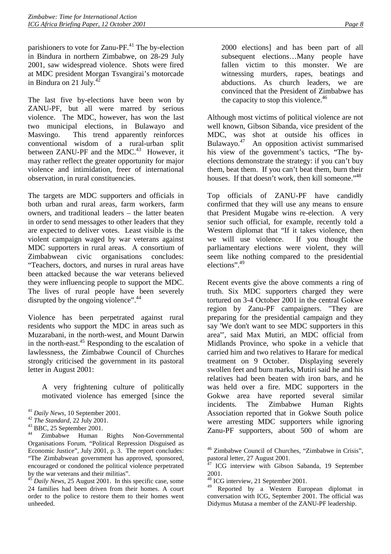parishioners to vote for Zanu-PF.<sup>41</sup> The by-election in Bindura in northern Zimbabwe, on 28-29 July 2001, saw widespread violence. Shots were fired at MDC president Morgan Tsvangirai's motorcade in Bindura on 21 July. $^{42}$ 

The last five by-elections have been won by ZANU-PF, but all were marred by serious violence. The MDC, however, has won the last two municipal elections, in Bulawayo and Masvingo. This trend apparently reinforces conventional wisdom of a rural-urban split between ZANU-PF and the MDC.<sup>43</sup> However, it may rather reflect the greater opportunity for major violence and intimidation, freer of international observation, in rural constituencies.

The targets are MDC supporters and officials in both urban and rural areas, farm workers, farm owners, and traditional leaders – the latter beaten in order to send messages to other leaders that they are expected to deliver votes. Least visible is the violent campaign waged by war veterans against MDC supporters in rural areas. A consortium of Zimbabwean civic organisations concludes: "Teachers, doctors, and nurses in rural areas have been attacked because the war veterans believed they were influencing people to support the MDC. The lives of rural people have been severely disrupted by the ongoing violence".<sup>44</sup>

Violence has been perpetrated against rural residents who support the MDC in areas such as Muzarabani, in the north-west, and Mount Darwin in the north-east.45 Responding to the escalation of lawlessness, the Zimbabwe Council of Churches strongly criticised the government in its pastoral letter in August 2001:

A very frightening culture of politically motivated violence has emerged [since the

2000 elections] and has been part of all subsequent elections…Many people have fallen victim to this monster. We are witnessing murders, rapes, beatings and abductions. As church leaders, we are convinced that the President of Zimbabwe has the capacity to stop this violence.<sup>46</sup>

Although most victims of political violence are not well known, Gibson Sibanda, vice president of the MDC, was shot at outside his offices in Bulawayo.<sup>47</sup> An opposition activist summarised An opposition activist summarised his view of the government's tactics, "The byelections demonstrate the strategy: if you can't buy them, beat them. If you can't beat them, burn their houses. If that doesn't work, then kill someone."<sup>48</sup>

Top officials of ZANU-PF have candidly confirmed that they will use any means to ensure that President Mugabe wins re-election. A very senior such official, for example, recently told a Western diplomat that "If it takes violence, then we will use violence. If you thought the parliamentary elections were violent, they will seem like nothing compared to the presidential elections".<sup>49</sup>

Recent events give the above comments a ring of truth. Six MDC supporters charged they were tortured on 3-4 October 2001 in the central Gokwe region by Zanu-PF campaigners. "They are preparing for the presidential campaign and they say 'We don't want to see MDC supporters in this area'", said Max Mutiri, an MDC official from Midlands Province, who spoke in a vehicle that carried him and two relatives to Harare for medical treatment on 9 October. Displaying severely swollen feet and burn marks, Mutiri said he and his relatives had been beaten with iron bars, and he was held over a fire. MDC supporters in the Gokwe area have reported several similar incidents. The Zimbabwe Human Rights Association reported that in Gokwe South police were arresting MDC supporters while ignoring Zanu-PF supporters, about 500 of whom are

<sup>41</sup> *Daily News,* 10 September 2001. <sup>42</sup> *The Standard*, 22 July 2001. 43 BBC, 25 September 2001.

Zimbabwe Human Rights Non-Governmental Organisations Forum, "Political Repression Disguised as Economic Justice", July 2001, p. 3. The report concludes: "The Zimbabwean government has approved, sponsored, encouraged or condoned the political violence perpetrated by the war veterans and their militias".

<sup>&</sup>lt;sup>45</sup> *Daily News*, 25 August 2001. In this specific case, some 24 families had been driven from their homes. A court order to the police to restore them to their homes went unheeded.

<sup>46</sup> Zimbabwe Council of Churches, "Zimbabwe in Crisis", pastoral letter, 27 August 2001.

ICG interview with Gibson Sabanda, 19 September 2001.

<sup>48</sup> ICG interview, 21 September 2001.

<sup>49</sup> Reported by a Western European diplomat in conversation with ICG, September 2001. The official was Didymus Mutasa a member of the ZANU-PF leadership.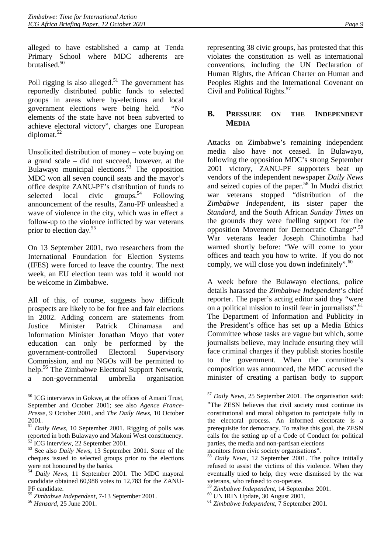alleged to have established a camp at Tenda Primary School where MDC adherents are brutalised.<sup>50</sup>

Poll rigging is also alleged. $51$  The government has reportedly distributed public funds to selected groups in areas where by-elections and local government elections were being held. "No elements of the state have not been subverted to achieve electoral victory", charges one European diplomat.52

Unsolicited distribution of money – vote buying on a grand scale – did not succeed, however, at the Bulawayo municipal elections.<sup>53</sup> The opposition MDC won all seven council seats and the mayor's office despite ZANU-PF's distribution of funds to selected local civic groups.<sup>54</sup> Following announcement of the results, Zanu-PF unleashed a wave of violence in the city, which was in effect a follow-up to the violence inflicted by war veterans prior to election day.55

On 13 September 2001, two researchers from the International Foundation for Election Systems (IFES) were forced to leave the country. The next week, an EU election team was told it would not be welcome in Zimbabwe.

All of this, of course, suggests how difficult prospects are likely to be for free and fair elections in 2002. Adding concern are statements from Justice Minister Patrick Chinamasa and Information Minister Jonathan Moyo that voter education can only be performed by the government-controlled Electoral Supervisory Commission, and no NGOs will be permitted to help.56 The Zimbabwe Electoral Support Network, a non-governmental umbrella organisation

<sup>51</sup> *Daily News*, 10 September 2001. Rigging of polls was reported in both Bulawayo and Makoni West constituency.  $2^2$  ICG interview, 22 September 2001.

53 See also *Daily News*, 13 September 2001. Some of the cheques issued to selected groups prior to the elections were not honoured by the banks.

<sup>54</sup> *Daily News*, 11 September 2001. The MDC mayoral candidate obtained 60,988 votes to 12,783 for the ZANU-PF candidate.

representing 38 civic groups, has protested that this violates the constitution as well as international conventions, including the UN Declaration of Human Rights, the African Charter on Human and Peoples Rights and the International Covenant on Civil and Political Rights.<sup>57</sup>

# **B. PRESSURE ON THE INDEPENDENT MEDIA**

Attacks on Zimbabwe's remaining independent media also have not ceased. In Bulawayo, following the opposition MDC's strong September 2001 victory, ZANU-PF supporters beat up vendors of the independent newspaper *Daily News* and seized copies of the paper.<sup>58</sup> In Mudzi district war veterans stopped "distribution of the *Zimbabwe Independent*, its sister paper the *Standard*, and the South African *Sunday Times* on the grounds they were fuelling support for the opposition Movement for Democratic Change".<sup>59</sup> War veterans leader Joseph Chinotimba had warned shortly before: "We will come to your offices and teach you how to write. If you do not comply, we will close you down indefinitely". $60$ 

A week before the Bulawayo elections, police details harassed the *Zimbabwe Independent*'s chief reporter. The paper's acting editor said they "were on a political mission to instil fear in journalists".<sup>61</sup> The Department of Information and Publicity in the President's office has set up a Media Ethics Committee whose tasks are vague but which, some journalists believe, may include ensuring they will face criminal charges if they publish stories hostile to the government. When the committee's composition was announced, the MDC accused the minister of creating a partisan body to support

<sup>50</sup> ICG interviews in Gokwe, at the offices of Amani Trust, September and October 2001; see also *Agence France-Presse*, 9 October 2001, and *The Daily News*, 10 October 2001.

<sup>55</sup> *Zimbabwe Independent*, 7-13 September 2001. <sup>56</sup> *Hansard*, 25 June 2001.

<sup>57</sup> *Daily News*, 25 September 2001. The organisation said: "The ZESN believes that civil society must continue its constitutional and moral obligation to participate fully in the electoral process. An informed electorate is a prerequisite for democracy. To realise this goal, the ZESN calls for the setting up of a Code of Conduct for political parties, the media and non-partisan elections monitors from civic society organisations".

<sup>58</sup> *Daily News*, 12 September 2001. The police initially refused to assist the victims of this violence. When they eventually tried to help, they were dismissed by the war veterans, who refused to co-operate.

<sup>59</sup> *Zimbabwe Independent*, 14 September 2001. 60 UN IRIN Update, 30 August 2001.

<sup>61</sup> *Zimbabwe Independent*, 7 September 2001.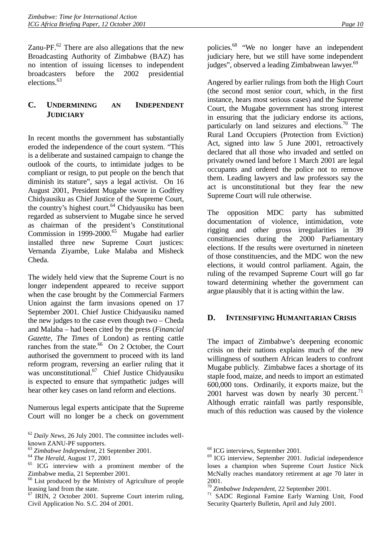Zanu-PF. $^{62}$  There are also allegations that the new Broadcasting Authority of Zimbabwe (BAZ) has no intention of issuing licenses to independent broadcasters before the 2002 presidential elections.<sup>63</sup>

# **C. UNDERMINING AN INDEPENDENT JUDICIARY**

In recent months the government has substantially eroded the independence of the court system. "This is a deliberate and sustained campaign to change the outlook of the courts, to intimidate judges to be compliant or resign, to put people on the bench that diminish its stature", says a legal activist. On 16 August 2001, President Mugabe swore in Godfrey Chidyausiku as Chief Justice of the Supreme Court, the country's highest court.<sup>64</sup> Chidyausiku has been regarded as subservient to Mugabe since he served as chairman of the president's Constitutional Commission in 1999-2000.<sup>65</sup> Mugabe had earlier installed three new Supreme Court justices: Vernanda Ziyambe, Luke Malaba and Misheck Cheda.

The widely held view that the Supreme Court is no longer independent appeared to receive support when the case brought by the Commercial Farmers Union against the farm invasions opened on 17 September 2001. Chief Justice Chidyausiku named the new judges to the case even though two – Cheda and Malaba – had been cited by the press (*Financial Gazette, The Times* of London) as renting cattle ranches from the state.<sup>66</sup> On 2 October, the Court authorised the government to proceed with its land reform program, reversing an earlier ruling that it was unconstitutional.<sup>67</sup> Chief Justice Chidyausiku is expected to ensure that sympathetic judges will hear other key cases on land reform and elections.

Numerous legal experts anticipate that the Supreme Court will no longer be a check on government

policies.68 "We no longer have an independent judiciary here, but we still have some independent judges", observed a leading Zimbabwean lawyer.<sup>69</sup>

Angered by earlier rulings from both the High Court (the second most senior court, which, in the first instance, hears most serious cases) and the Supreme Court, the Mugabe government has strong interest in ensuring that the judiciary endorse its actions, particularly on land seizures and elections.<sup>70</sup> The Rural Land Occupiers (Protection from Eviction) Act, signed into law 5 June 2001, retroactively declared that all those who invaded and settled on privately owned land before 1 March 2001 are legal occupants and ordered the police not to remove them. Leading lawyers and law professors say the act is unconstitutional but they fear the new Supreme Court will rule otherwise.

The opposition MDC party has submitted documentation of violence, intimidation, vote rigging and other gross irregularities in 39 constituencies during the 2000 Parliamentary elections. If the results were overturned in nineteen of those constituencies, and the MDC won the new elections, it would control parliament. Again, the ruling of the revamped Supreme Court will go far toward determining whether the government can argue plausibly that it is acting within the law.

# **D. INTENSIFYING HUMANITARIAN CRISIS**

The impact of Zimbabwe's deepening economic crisis on their nations explains much of the new willingness of southern African leaders to confront Mugabe publicly. Zimbabwe faces a shortage of its staple food, maize, and needs to import an estimated 600,000 tons. Ordinarily, it exports maize, but the 2001 harvest was down by nearly 30 percent.<sup>71</sup> Although erratic rainfall was partly responsible, much of this reduction was caused by the violence

<sup>62</sup> *Daily News*, 26 July 2001. The committee includes wellknown ZANU-PF supporters.<br><sup>63</sup> Zimbabwe Independent, 21 September 2001.

<sup>&</sup>lt;sup>64</sup> *The Herald*, August 17, 2001<sup>.</sup> <sup>65</sup> ICG interview with a prominent member of the Zimbabwe media, 21 September 2001.

<sup>66</sup> List produced by the Ministry of Agriculture of people leasing land from the state.

<sup>67</sup> IRIN, 2 October 2001. Supreme Court interim ruling, Civil Application No. S.C. 204 of 2001.

<sup>68</sup> ICG interviews, September 2001.

<sup>69</sup> ICG interview, September 2001. Judicial independence loses a champion when Supreme Court Justice Nick McNally reaches mandatory retirement at age 70 later in

<sup>2001.&</sup>lt;br><sup>70</sup> Zimbabwe Independent, 22 September 2001.

<sup>&</sup>lt;sup>71</sup> SADC Regional Famine Early Warning Unit, Food Security Quarterly Bulletin, April and July 2001.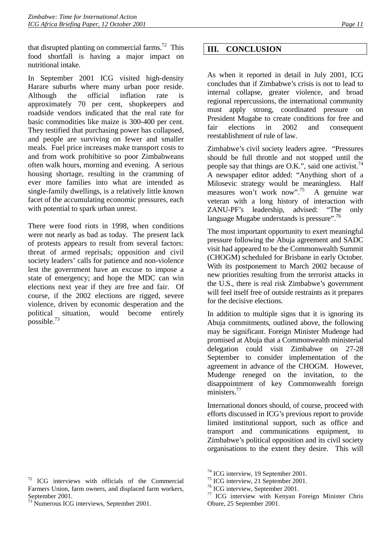that disrupted planting on commercial farms.<sup>72</sup> This food shortfall is having a major impact on nutritional intake.

In September 2001 ICG visited high-density Harare suburbs where many urban poor reside. Although the official inflation rate is approximately 70 per cent, shopkeepers and roadside vendors indicated that the real rate for basic commodities like maize is 300-400 per cent. They testified that purchasing power has collapsed, and people are surviving on fewer and smaller meals. Fuel price increases make transport costs to and from work prohibitive so poor Zimbabweans often walk hours, morning and evening. A serious housing shortage, resulting in the cramming of ever more families into what are intended as single-family dwellings, is a relatively little known facet of the accumulating economic pressures, each with potential to spark urban unrest.

There were food riots in 1998, when conditions were not nearly as bad as today. The present lack of protests appears to result from several factors: threat of armed reprisals; opposition and civil society leaders' calls for patience and non-violence lest the government have an excuse to impose a state of emergency; and hope the MDC can win elections next year if they are free and fair. Of course, if the 2002 elections are rigged, severe violence, driven by economic desperation and the political situation, would become entirely possible.<sup>73</sup>

### **III. CONCLUSION**

As when it reported in detail in July 2001, ICG concludes that if Zimbabwe's crisis is not to lead to internal collapse, greater violence, and broad regional repercussions, the international community must apply strong, coordinated pressure on President Mugabe to create conditions for free and fair elections in 2002 and consequent reestablishment of rule of law.

Zimbabwe's civil society leaders agree. "Pressures should be full throttle and not stopped until the people say that things are O.K.", said one activist. $74$ A newspaper editor added: "Anything short of a Milosevic strategy would be meaningless. Half measures won't work now".75 A genuine war veteran with a long history of interaction with ZANU-PF's leadership, advised: "The only language Mugabe understands is pressure".<sup>76</sup>

The most important opportunity to exert meaningful pressure following the Abuja agreement and SADC visit had appeared to be the Commonwealth Summit (CHOGM) scheduled for Brisbane in early October. With its postponement to March 2002 because of new priorities resulting from the terrorist attacks in the U.S., there is real risk Zimbabwe's government will feel itself free of outside restraints as it prepares for the decisive elections.

In addition to multiple signs that it is ignoring its Abuja commitments, outlined above, the following may be significant. Foreign Minister Mudenge had promised at Abuja that a Commonwealth ministerial delegation could visit Zimbabwe on 27-28 September to consider implementation of the agreement in advance of the CHOGM. However, Mudenge reneged on the invitation, to the disappointment of key Commonwealth foreign ministers<sup>77</sup>

International donors should, of course, proceed with efforts discussed in ICG's previous report to provide limited institutional support, such as office and transport and communications equipment, to Zimbabwe's political opposition and its civil society organisations to the extent they desire. This will

73 Numerous ICG interviews, September 2001.

<sup>74</sup> ICG interview, 19 September 2001.

<sup>75</sup> ICG interview, 21 September 2001.

<sup>76</sup> ICG interview, September 2001.

<sup>77</sup> ICG interview with Kenyan Foreign Minister Chris Obure, 25 September 2001.

 $72$  ICG interviews with officials of the Commercial Farmers Union, farm owners, and displaced farm workers, September 2001.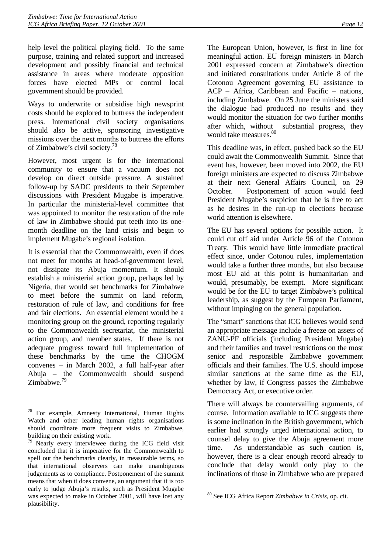help level the political playing field. To the same purpose, training and related support and increased development and possibly financial and technical assistance in areas where moderate opposition forces have elected MPs or control local government should be provided.

Ways to underwrite or subsidise high newsprint costs should be explored to buttress the independent press. International civil society organisations should also be active, sponsoring investigative missions over the next months to buttress the efforts of Zimbabwe's civil society.78

However, most urgent is for the international community to ensure that a vacuum does not develop on direct outside pressure. A sustained follow-up by SADC presidents to their September discussions with President Mugabe is imperative. In particular the ministerial-level committee that was appointed to monitor the restoration of the rule of law in Zimbabwe should put teeth into its onemonth deadline on the land crisis and begin to implement Mugabe's regional isolation.

It is essential that the Commonwealth, even if does not meet for months at head-of-government level, not dissipate its Abuja momentum. It should establish a ministerial action group, perhaps led by Nigeria, that would set benchmarks for Zimbabwe to meet before the summit on land reform, restoration of rule of law, and conditions for free and fair elections. An essential element would be a monitoring group on the ground, reporting regularly to the Commonwealth secretariat, the ministerial action group, and member states. If there is not adequate progress toward full implementation of these benchmarks by the time the CHOGM convenes – in March 2002, a full half-year after Abuja – the Commonwealth should suspend Zimbabwe.<sup>79</sup>

79 Nearly every interviewee during the ICG field visit concluded that it is imperative for the Commonwealth to spell out the benchmarks clearly, in measurable terms, so that international observers can make unambiguous judgements as to compliance. Postponement of the summit means that when it does convene, an argument that it is too early to judge Abuja's results, such as President Mugabe was expected to make in October 2001, will have lost any plausibility.

The European Union, however, is first in line for meaningful action. EU foreign ministers in March 2001 expressed concern at Zimbabwe's direction and initiated consultations under Article 8 of the Cotonou Agreement governing EU assistance to ACP – Africa, Caribbean and Pacific – nations, including Zimbabwe. On 25 June the ministers said the dialogue had produced no results and they would monitor the situation for two further months after which, without substantial progress, they would take measures. 80

This deadline was, in effect, pushed back so the EU could await the Commonwealth Summit. Since that event has, however, been moved into 2002, the EU foreign ministers are expected to discuss Zimbabwe at their next General Affairs Council, on 29 October. Postponement of action would feed President Mugabe's suspicion that he is free to act as he desires in the run-up to elections because world attention is elsewhere.

The EU has several options for possible action. It could cut off aid under Article 96 of the Cotonou Treaty. This would have little immediate practical effect since, under Cotonou rules, implementation would take a further three months, but also because most EU aid at this point is humanitarian and would, presumably, be exempt. More significant would be for the EU to target Zimbabwe's political leadership, as suggest by the European Parliament, without impinging on the general population.

The "smart" sanctions that ICG believes would send an appropriate message include a freeze on assets of ZANU-PF officials (including President Mugabe) and their families and travel restrictions on the most senior and responsible Zimbabwe government officials and their families. The U.S. should impose similar sanctions at the same time as the EU, whether by law, if Congress passes the Zimbabwe Democracy Act, or executive order.

There will always be countervailing arguments, of course. Information available to ICG suggests there is some inclination in the British government, which earlier had strongly urged international action, to counsel delay to give the Abuja agreement more time. As understandable as such caution is, however, there is a clear enough record already to conclude that delay would only play to the inclinations of those in Zimbabwe who are prepared

For example, Amnesty International, Human Rights Watch and other leading human rights organisations should coordinate more frequent visits to Zimbabwe, building on their existing work.

<sup>80</sup> See ICG Africa Report *Zimbabwe in Crisis*, op. cit.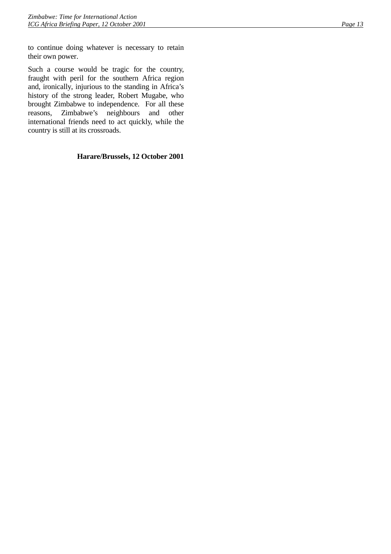to continue doing whatever is necessary to retain their own power.

Such a course would be tragic for the country, fraught with peril for the southern Africa region and, ironically, injurious to the standing in Africa's history of the strong leader, Robert Mugabe, who brought Zimbabwe to independence. For all these reasons, Zimbabwe's neighbours and other international friends need to act quickly, while the country is still at its crossroads.

#### **Harare/Brussels, 12 October 2001**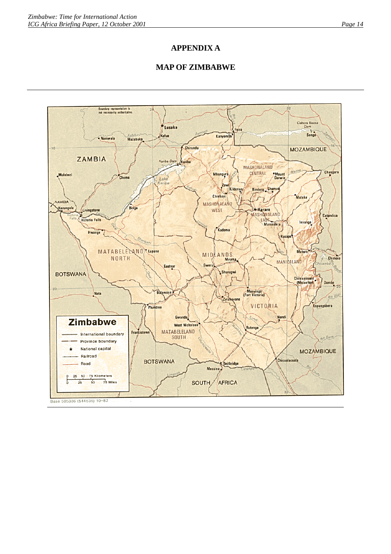# **APPENDIX A**

# **MAP OF ZIMBABWE**

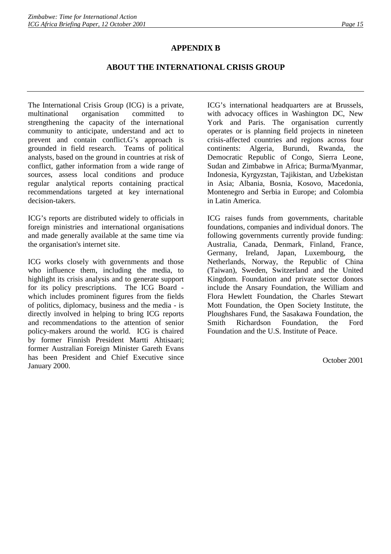# **APPENDIX B**

# **ABOUT THE INTERNATIONAL CRISIS GROUP**

The International Crisis Group (ICG) is a private, multinational organisation committed to strengthening the capacity of the international community to anticipate, understand and act to prevent and contain conflict.G's approach is grounded in field research. Teams of political analysts, based on the ground in countries at risk of conflict, gather information from a wide range of sources, assess local conditions and produce regular analytical reports containing practical recommendations targeted at key international decision-takers.

ICG's reports are distributed widely to officials in foreign ministries and international organisations and made generally available at the same time via the organisation's internet site.

ICG works closely with governments and those who influence them, including the media, to highlight its crisis analysis and to generate support for its policy prescriptions. The ICG Board which includes prominent figures from the fields of politics, diplomacy, business and the media - is directly involved in helping to bring ICG reports and recommendations to the attention of senior policy-makers around the world. ICG is chaired by former Finnish President Martti Ahtisaari; former Australian Foreign Minister Gareth Evans has been President and Chief Executive since January 2000.

ICG's international headquarters are at Brussels, with advocacy offices in Washington DC, New York and Paris. The organisation currently operates or is planning field projects in nineteen crisis-affected countries and regions across four continents: Algeria, Burundi, Rwanda, the Democratic Republic of Congo, Sierra Leone, Sudan and Zimbabwe in Africa; Burma/Myanmar, Indonesia, Kyrgyzstan, Tajikistan, and Uzbekistan in Asia; Albania, Bosnia, Kosovo, Macedonia, Montenegro and Serbia in Europe; and Colombia in Latin America.

ICG raises funds from governments, charitable foundations, companies and individual donors. The following governments currently provide funding: Australia, Canada, Denmark, Finland, France, Germany, Ireland, Japan, Luxembourg, the Netherlands, Norway, the Republic of China (Taiwan), Sweden, Switzerland and the United Kingdom. Foundation and private sector donors include the Ansary Foundation, the William and Flora Hewlett Foundation, the Charles Stewart Mott Foundation, the Open Society Institute, the Ploughshares Fund, the Sasakawa Foundation, the Smith Richardson Foundation, the Ford Foundation and the U.S. Institute of Peace.

October 2001